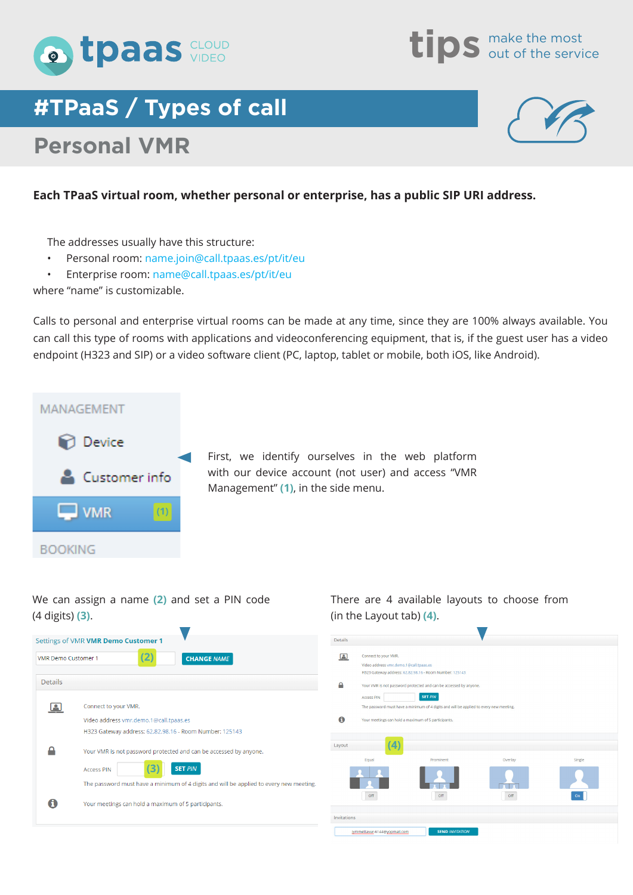



## **#TPaaS / Types of call**

### **Personal VMR**

#### **Each TPaaS virtual room, whether personal or enterprise, has a public SIP URI address.**

The addresses usually have this structure:

- Personal room: name.join@call.tpaas.es/pt/it/eu
- Enterprise room: name@call.tpaas.es/pt/it/eu

where "name" is customizable.

Calls to personal and enterprise virtual rooms can be made at any time, since they are 100% always available. You can call this type of rooms with applications and videoconferencing equipment, that is, if the guest user has a video endpoint (H323 and SIP) or a video software client (PC, laptop, tablet or mobile, both iOS, like Android).



First, we identify ourselves in the web platform with our device account (not user) and access "VMR Management" **(1)**, in the side menu.

#### We can assign a name **(2)** and set a PIN code (4 digits) **(3)**.



There are 4 available layouts to choose from (in the Layout tab) **(4)**.

| $\boxed{2}$ | Connect to your VMR.                                              |                                                                                        |         |        |
|-------------|-------------------------------------------------------------------|----------------------------------------------------------------------------------------|---------|--------|
|             | Video address vmr.demo.1@call.tpaas.es                            |                                                                                        |         |        |
|             | H323 Gateway address: 62.82.98.16 - Room Number: 125143           |                                                                                        |         |        |
| ≏           | Your VMR is not password protected and can be accessed by anyone. |                                                                                        |         |        |
|             | <b>SET PIN</b><br><b>Access PIN</b>                               |                                                                                        |         |        |
|             |                                                                   | The password must have a minimum of 4 digits and will be applied to every new meeting. |         |        |
| $\mathbf 0$ |                                                                   | Your meetings can hold a maximum of 5 participants.                                    |         |        |
|             |                                                                   |                                                                                        |         |        |
| Layout      |                                                                   |                                                                                        |         |        |
|             | (4)                                                               |                                                                                        |         |        |
|             |                                                                   |                                                                                        |         |        |
|             | Equal                                                             | Prominent                                                                              | Overlay | Single |
|             |                                                                   |                                                                                        |         |        |
|             |                                                                   |                                                                                        |         |        |
|             |                                                                   |                                                                                        |         |        |
|             | Off                                                               | Off                                                                                    | Off     | On     |